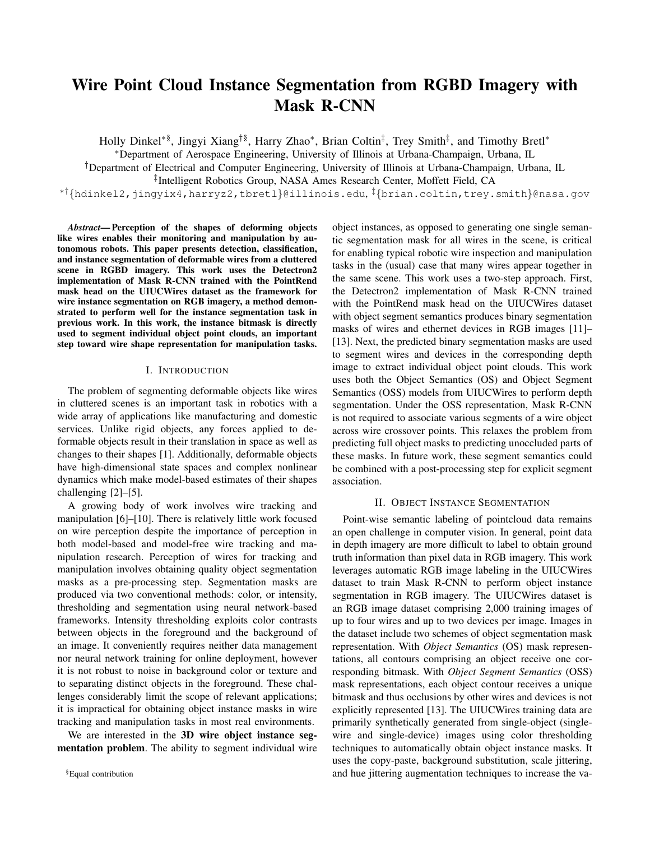# Wire Point Cloud Instance Segmentation from RGBD Imagery with Mask R-CNN

Holly Dinkel<sup>∗§</sup>, Jingyi Xiang<sup>†§</sup>, Harry Zhao<sup>∗</sup>, Brian Coltin<sup>‡</sup>, Trey Smith<sup>‡</sup>, and Timothy Bretl<sup>∗</sup>

<sup>∗</sup>Department of Aerospace Engineering, University of Illinois at Urbana-Champaign, Urbana, IL

†Department of Electrical and Computer Engineering, University of Illinois at Urbana-Champaign, Urbana, IL

‡ Intelligent Robotics Group, NASA Ames Research Center, Moffett Field, CA

∗†{hdinkel2,jingyix4,harryz2,tbretl}@illinois.edu, ‡{brian.coltin,trey.smith}@nasa.gov

*Abstract*— Perception of the shapes of deforming objects like wires enables their monitoring and manipulation by autonomous robots. This paper presents detection, classification, and instance segmentation of deformable wires from a cluttered scene in RGBD imagery. This work uses the Detectron2 implementation of Mask R-CNN trained with the PointRend mask head on the UIUCWires dataset as the framework for wire instance segmentation on RGB imagery, a method demonstrated to perform well for the instance segmentation task in previous work. In this work, the instance bitmask is directly used to segment individual object point clouds, an important step toward wire shape representation for manipulation tasks.

#### I. INTRODUCTION

The problem of segmenting deformable objects like wires in cluttered scenes is an important task in robotics with a wide array of applications like manufacturing and domestic services. Unlike rigid objects, any forces applied to deformable objects result in their translation in space as well as changes to their shapes [1]. Additionally, deformable objects have high-dimensional state spaces and complex nonlinear dynamics which make model-based estimates of their shapes challenging [2]–[5].

A growing body of work involves wire tracking and manipulation [6]–[10]. There is relatively little work focused on wire perception despite the importance of perception in both model-based and model-free wire tracking and manipulation research. Perception of wires for tracking and manipulation involves obtaining quality object segmentation masks as a pre-processing step. Segmentation masks are produced via two conventional methods: color, or intensity, thresholding and segmentation using neural network-based frameworks. Intensity thresholding exploits color contrasts between objects in the foreground and the background of an image. It conveniently requires neither data management nor neural network training for online deployment, however it is not robust to noise in background color or texture and to separating distinct objects in the foreground. These challenges considerably limit the scope of relevant applications; it is impractical for obtaining object instance masks in wire tracking and manipulation tasks in most real environments.

We are interested in the 3D wire object instance segmentation problem. The ability to segment individual wire object instances, as opposed to generating one single semantic segmentation mask for all wires in the scene, is critical for enabling typical robotic wire inspection and manipulation tasks in the (usual) case that many wires appear together in the same scene. This work uses a two-step approach. First, the Detectron2 implementation of Mask R-CNN trained with the PointRend mask head on the UIUCWires dataset with object segment semantics produces binary segmentation masks of wires and ethernet devices in RGB images [11]– [13]. Next, the predicted binary segmentation masks are used to segment wires and devices in the corresponding depth image to extract individual object point clouds. This work uses both the Object Semantics (OS) and Object Segment Semantics (OSS) models from UIUCWires to perform depth segmentation. Under the OSS representation, Mask R-CNN is not required to associate various segments of a wire object across wire crossover points. This relaxes the problem from predicting full object masks to predicting unoccluded parts of these masks. In future work, these segment semantics could be combined with a post-processing step for explicit segment association.

#### II. OBJECT INSTANCE SEGMENTATION

Point-wise semantic labeling of pointcloud data remains an open challenge in computer vision. In general, point data in depth imagery are more difficult to label to obtain ground truth information than pixel data in RGB imagery. This work leverages automatic RGB image labeling in the UIUCWires dataset to train Mask R-CNN to perform object instance segmentation in RGB imagery. The UIUCWires dataset is an RGB image dataset comprising 2,000 training images of up to four wires and up to two devices per image. Images in the dataset include two schemes of object segmentation mask representation. With *Object Semantics* (OS) mask representations, all contours comprising an object receive one corresponding bitmask. With *Object Segment Semantics* (OSS) mask representations, each object contour receives a unique bitmask and thus occlusions by other wires and devices is not explicitly represented [13]. The UIUCWires training data are primarily synthetically generated from single-object (singlewire and single-device) images using color thresholding techniques to automatically obtain object instance masks. It uses the copy-paste, background substitution, scale jittering, and hue jittering augmentation techniques to increase the va-

<sup>§</sup>Equal contribution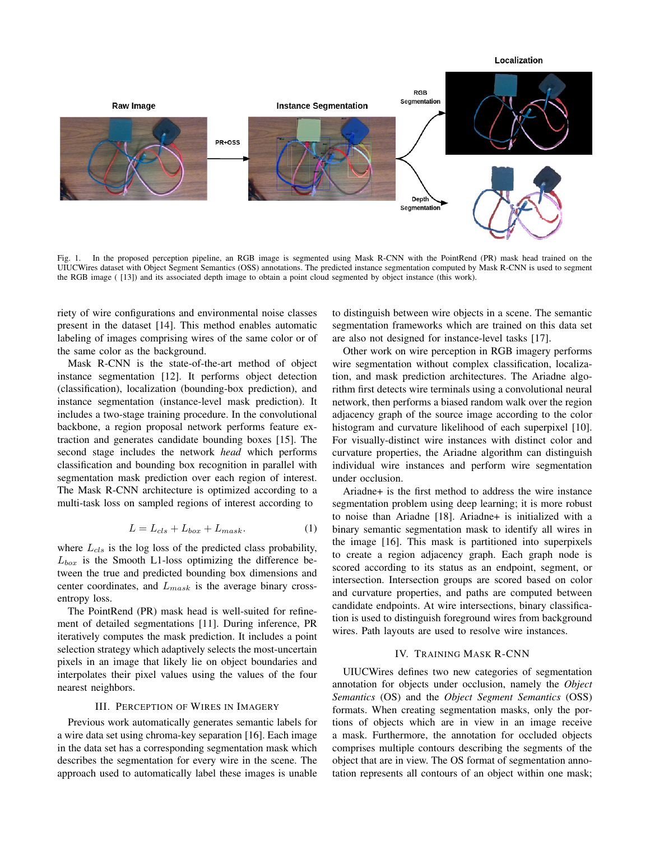

Fig. 1. In the proposed perception pipeline, an RGB image is segmented using Mask R-CNN with the PointRend (PR) mask head trained on the UIUCWires dataset with Object Segment Semantics (OSS) annotations. The predicted instance segmentation computed by Mask R-CNN is used to segment the RGB image ( [13]) and its associated depth image to obtain a point cloud segmented by object instance (this work).

riety of wire configurations and environmental noise classes present in the dataset [14]. This method enables automatic labeling of images comprising wires of the same color or of the same color as the background.

Mask R-CNN is the state-of-the-art method of object instance segmentation [12]. It performs object detection (classification), localization (bounding-box prediction), and instance segmentation (instance-level mask prediction). It includes a two-stage training procedure. In the convolutional backbone, a region proposal network performs feature extraction and generates candidate bounding boxes [15]. The second stage includes the network *head* which performs classification and bounding box recognition in parallel with segmentation mask prediction over each region of interest. The Mask R-CNN architecture is optimized according to a multi-task loss on sampled regions of interest according to

$$
L = L_{cls} + L_{box} + L_{mask}.\tag{1}
$$

where  $L_{cls}$  is the log loss of the predicted class probability,  $L_{box}$  is the Smooth L1-loss optimizing the difference between the true and predicted bounding box dimensions and center coordinates, and  $L_{mask}$  is the average binary crossentropy loss.

The PointRend (PR) mask head is well-suited for refinement of detailed segmentations [11]. During inference, PR iteratively computes the mask prediction. It includes a point selection strategy which adaptively selects the most-uncertain pixels in an image that likely lie on object boundaries and interpolates their pixel values using the values of the four nearest neighbors.

## III. PERCEPTION OF WIRES IN IMAGERY

Previous work automatically generates semantic labels for a wire data set using chroma-key separation [16]. Each image in the data set has a corresponding segmentation mask which describes the segmentation for every wire in the scene. The approach used to automatically label these images is unable to distinguish between wire objects in a scene. The semantic segmentation frameworks which are trained on this data set are also not designed for instance-level tasks [17].

Other work on wire perception in RGB imagery performs wire segmentation without complex classification, localization, and mask prediction architectures. The Ariadne algorithm first detects wire terminals using a convolutional neural network, then performs a biased random walk over the region adjacency graph of the source image according to the color histogram and curvature likelihood of each superpixel [10]. For visually-distinct wire instances with distinct color and curvature properties, the Ariadne algorithm can distinguish individual wire instances and perform wire segmentation under occlusion.

Ariadne+ is the first method to address the wire instance segmentation problem using deep learning; it is more robust to noise than Ariadne [18]. Ariadne+ is initialized with a binary semantic segmentation mask to identify all wires in the image [16]. This mask is partitioned into superpixels to create a region adjacency graph. Each graph node is scored according to its status as an endpoint, segment, or intersection. Intersection groups are scored based on color and curvature properties, and paths are computed between candidate endpoints. At wire intersections, binary classification is used to distinguish foreground wires from background wires. Path layouts are used to resolve wire instances.

#### IV. TRAINING MASK R-CNN

UIUCWires defines two new categories of segmentation annotation for objects under occlusion, namely the *Object Semantics* (OS) and the *Object Segment Semantics* (OSS) formats. When creating segmentation masks, only the portions of objects which are in view in an image receive a mask. Furthermore, the annotation for occluded objects comprises multiple contours describing the segments of the object that are in view. The OS format of segmentation annotation represents all contours of an object within one mask;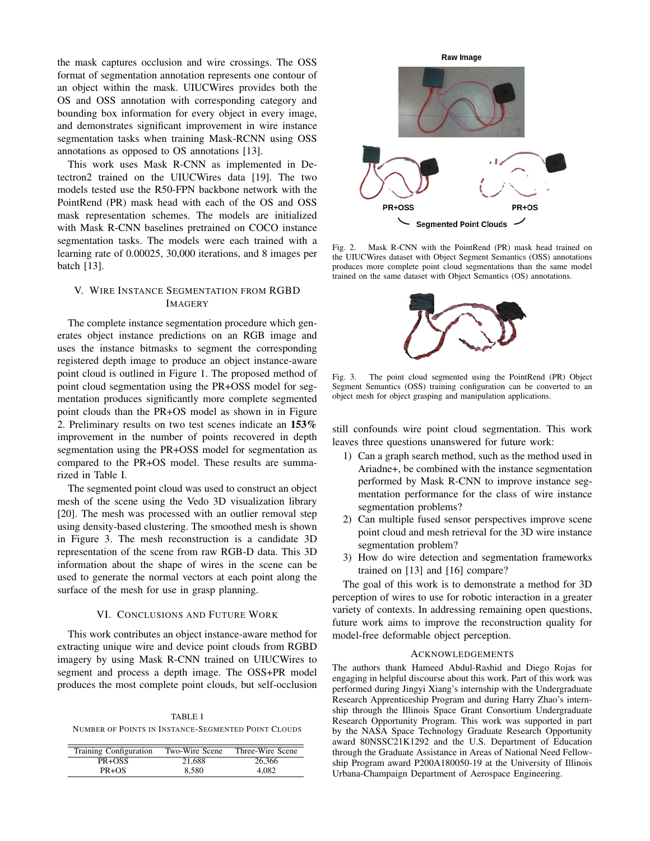the mask captures occlusion and wire crossings. The OSS format of segmentation annotation represents one contour of an object within the mask. UIUCWires provides both the OS and OSS annotation with corresponding category and bounding box information for every object in every image, and demonstrates significant improvement in wire instance segmentation tasks when training Mask-RCNN using OSS annotations as opposed to OS annotations [13].

This work uses Mask R-CNN as implemented in Detectron2 trained on the UIUCWires data [19]. The two models tested use the R50-FPN backbone network with the PointRend (PR) mask head with each of the OS and OSS mask representation schemes. The models are initialized with Mask R-CNN baselines pretrained on COCO instance segmentation tasks. The models were each trained with a learning rate of 0.00025, 30,000 iterations, and 8 images per batch [13].

## V. WIRE INSTANCE SEGMENTATION FROM RGBD IMAGERY

The complete instance segmentation procedure which generates object instance predictions on an RGB image and uses the instance bitmasks to segment the corresponding registered depth image to produce an object instance-aware point cloud is outlined in Figure 1. The proposed method of point cloud segmentation using the PR+OSS model for segmentation produces significantly more complete segmented point clouds than the PR+OS model as shown in in Figure 2. Preliminary results on two test scenes indicate an 153% improvement in the number of points recovered in depth segmentation using the PR+OSS model for segmentation as compared to the PR+OS model. These results are summarized in Table I.

The segmented point cloud was used to construct an object mesh of the scene using the Vedo 3D visualization library [20]. The mesh was processed with an outlier removal step using density-based clustering. The smoothed mesh is shown in Figure 3. The mesh reconstruction is a candidate 3D representation of the scene from raw RGB-D data. This 3D information about the shape of wires in the scene can be used to generate the normal vectors at each point along the surface of the mesh for use in grasp planning.

### VI. CONCLUSIONS AND FUTURE WORK

This work contributes an object instance-aware method for extracting unique wire and device point clouds from RGBD imagery by using Mask R-CNN trained on UIUCWires to segment and process a depth image. The OSS+PR model produces the most complete point clouds, but self-occlusion

TABLE I NUMBER OF POINTS IN INSTANCE-SEGMENTED POINT CLOUDS

| <b>Training Configuration</b> | Two-Wire Scene | Three-Wire Scene |
|-------------------------------|----------------|------------------|
| PR+OSS                        | 21.688         | 26.366           |
| $PR + OS$                     | 8.580          | 4.082            |



Fig. 2. Mask R-CNN with the PointRend (PR) mask head trained on the UIUCWires dataset with Object Segment Semantics (OSS) annotations produces more complete point cloud segmentations than the same model trained on the same dataset with Object Semantics (OS) annotations.



Fig. 3. The point cloud segmented using the PointRend (PR) Object Segment Semantics (OSS) training configuration can be converted to an object mesh for object grasping and manipulation applications.

still confounds wire point cloud segmentation. This work leaves three questions unanswered for future work:

- 1) Can a graph search method, such as the method used in Ariadne+, be combined with the instance segmentation performed by Mask R-CNN to improve instance segmentation performance for the class of wire instance segmentation problems?
- 2) Can multiple fused sensor perspectives improve scene point cloud and mesh retrieval for the 3D wire instance segmentation problem?
- 3) How do wire detection and segmentation frameworks trained on [13] and [16] compare?

The goal of this work is to demonstrate a method for 3D perception of wires to use for robotic interaction in a greater variety of contexts. In addressing remaining open questions, future work aims to improve the reconstruction quality for model-free deformable object perception.

### ACKNOWLEDGEMENTS

The authors thank Hameed Abdul-Rashid and Diego Rojas for engaging in helpful discourse about this work. Part of this work was performed during Jingyi Xiang's internship with the Undergraduate Research Apprenticeship Program and during Harry Zhao's internship through the Illinois Space Grant Consortium Undergraduate Research Opportunity Program. This work was supported in part by the NASA Space Technology Graduate Research Opportunity award 80NSSC21K1292 and the U.S. Department of Education through the Graduate Assistance in Areas of National Need Fellowship Program award P200A180050-19 at the University of Illinois Urbana-Champaign Department of Aerospace Engineering.